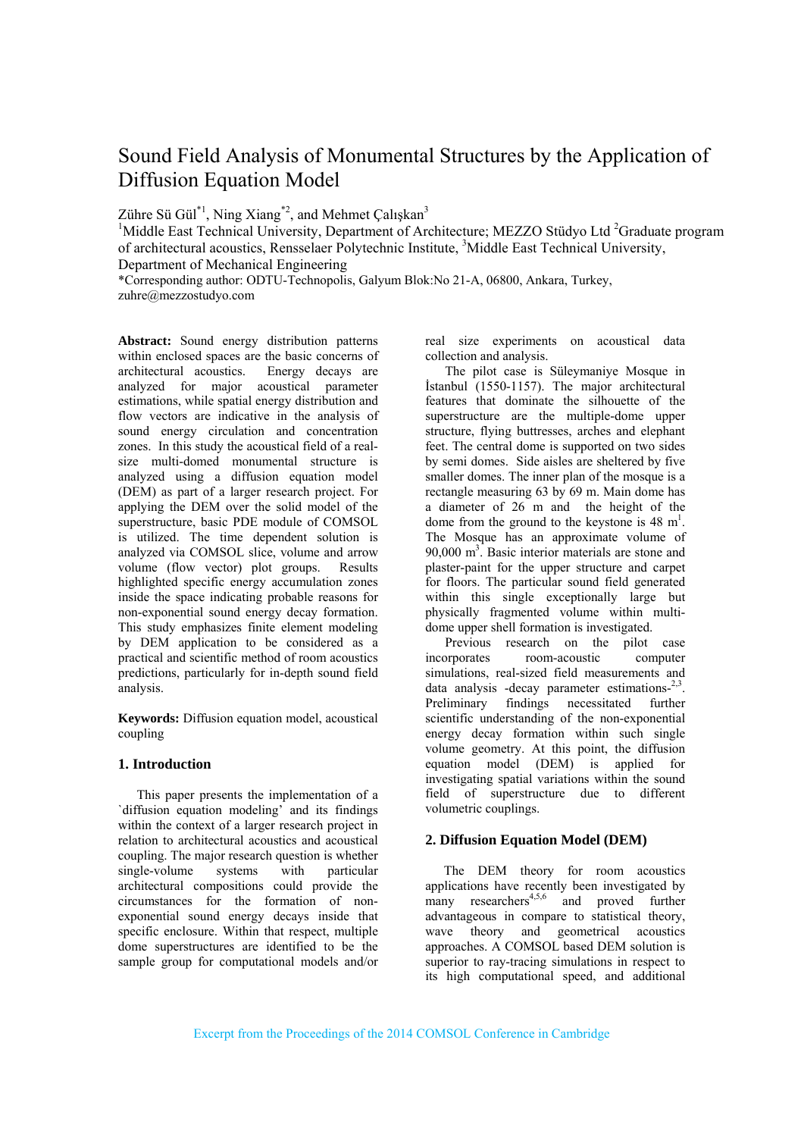# Sound Field Analysis of Monumental Structures by the Application of Diffusion Equation Model

Zühre Sü Gül<sup>\*1</sup>, Ning Xiang<sup>\*2</sup>, and Mehmet Çalışkan<sup>3</sup>

<sup>1</sup>Middle East Technical University, Department of Architecture; MEZZO Stüdyo Ltd <sup>2</sup>Graduate program of architectural acoustics, Rensselaer Polytechnic Institute, <sup>3</sup>Middle East Technical University, Department of Mechanical Engineering

\*Corresponding author: ODTU-Technopolis, Galyum Blok:No 21-A, 06800, Ankara, Turkey, zuhre@mezzostudyo.com

**Abstract:** Sound energy distribution patterns within enclosed spaces are the basic concerns of architectural acoustics. Energy decays are analyzed for major acoustical parameter estimations, while spatial energy distribution and flow vectors are indicative in the analysis of sound energy circulation and concentration zones. In this study the acoustical field of a realsize multi-domed monumental structure is analyzed using a diffusion equation model (DEM) as part of a larger research project. For applying the DEM over the solid model of the superstructure, basic PDE module of COMSOL is utilized. The time dependent solution is analyzed via COMSOL slice, volume and arrow volume (flow vector) plot groups. Results highlighted specific energy accumulation zones inside the space indicating probable reasons for non-exponential sound energy decay formation. This study emphasizes finite element modeling by DEM application to be considered as a practical and scientific method of room acoustics predictions, particularly for in-depth sound field analysis.

**Keywords:** Diffusion equation model, acoustical coupling

## **1. Introduction**

This paper presents the implementation of a `diffusion equation modeling' and its findings within the context of a larger research project in relation to architectural acoustics and acoustical coupling. The major research question is whether single-volume systems with particular architectural compositions could provide the circumstances for the formation of nonexponential sound energy decays inside that specific enclosure. Within that respect, multiple dome superstructures are identified to be the sample group for computational models and/or real size experiments on acoustical data collection and analysis.

The pilot case is Süleymaniye Mosque in İstanbul (1550-1157). The major architectural features that dominate the silhouette of the superstructure are the multiple-dome upper structure, flying buttresses, arches and elephant feet. The central dome is supported on two sides by semi domes. Side aisles are sheltered by five smaller domes. The inner plan of the mosque is a rectangle measuring 63 by 69 m. Main dome has a diameter of 26 m and the height of the dome from the ground to the keystone is  $48 \text{ m}^1$ . The Mosque has an approximate volume of 90,000 m3 . Basic interior materials are stone and plaster-paint for the upper structure and carpet for floors. The particular sound field generated within this single exceptionally large but physically fragmented volume within multidome upper shell formation is investigated.

Previous research on the pilot case incorporates room-acoustic computer simulations, real-sized field measurements and data analysis -decay parameter estimations-<sup>2,3</sup>. Preliminary findings necessitated further scientific understanding of the non-exponential energy decay formation within such single volume geometry. At this point, the diffusion equation model (DEM) is applied for investigating spatial variations within the sound field of superstructure due to different volumetric couplings.

# **2. Diffusion Equation Model (DEM)**

The DEM theory for room acoustics applications have recently been investigated by many researchers<sup>4,5,6</sup> and proved further advantageous in compare to statistical theory, wave theory and geometrical acoustics approaches. A COMSOL based DEM solution is superior to ray-tracing simulations in respect to its high computational speed, and additional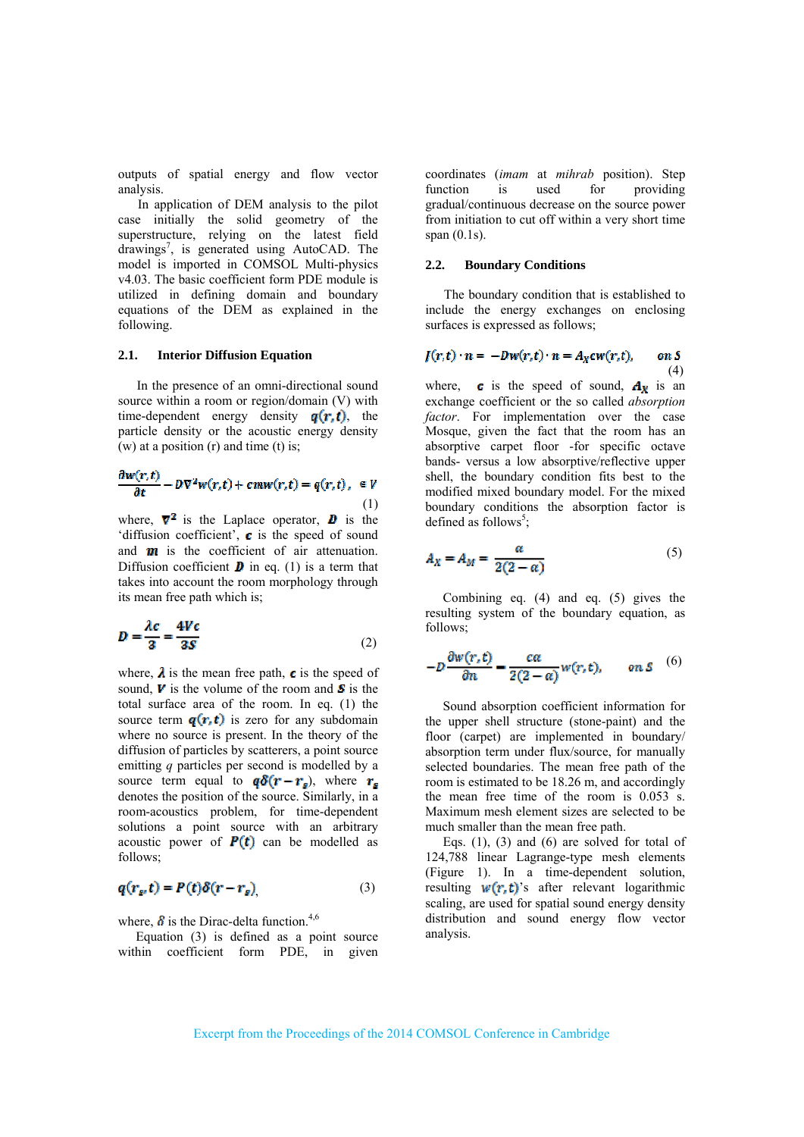outputs of spatial energy and flow vector analysis.

In application of DEM analysis to the pilot case initially the solid geometry of the superstructure, relying on the latest field drawings<sup>7</sup>, is generated using AutoCAD. The model is imported in COMSOL Multi-physics v4.03. The basic coefficient form PDE module is utilized in defining domain and boundary equations of the DEM as explained in the following.

#### **2.1. Interior Diffusion Equation**

In the presence of an omni-directional sound source within a room or region/domain (V) with time-dependent energy density  $q(r, t)$ , the particle density or the acoustic energy density  $(w)$  at a position  $(r)$  and time  $(t)$  is;

$$
\frac{\partial w(r,t)}{\partial t} - D\nabla^2 w(r,t) + cm w(r,t) = q(r,t), \quad \in V
$$
\n(1)

where,  $\nabla^2$  is the Laplace operator, **D** is the 'diffusion coefficient',  $\boldsymbol{\epsilon}$  is the speed of sound and  $\boldsymbol{m}$  is the coefficient of air attenuation. Diffusion coefficient  $\boldsymbol{D}$  in eq. (1) is a term that takes into account the room morphology through its mean free path which is;

$$
D = \frac{\lambda c}{3} = \frac{4Vc}{3S} \tag{2}
$$

where,  $\lambda$  is the mean free path,  $\epsilon$  is the speed of sound,  $\bf{V}$  is the volume of the room and  $\bf{s}$  is the total surface area of the room. In eq. (1) the source term  $q(r, t)$  is zero for any subdomain where no source is present. In the theory of the diffusion of particles by scatterers, a point source emitting *q* particles per second is modelled by a source term equal to  $q\delta(r-r_s)$ , where  $r_s$ denotes the position of the source. Similarly, in a room-acoustics problem, for time-dependent solutions a point source with an arbitrary acoustic power of  $P(t)$  can be modelled as follows;

$$
q(r_s, t) = P(t)\delta(r - r_s)
$$
\n(3)

where,  $\delta$  is the Dirac-delta function.<sup>4,6</sup>

Equation (3) is defined as a point source within coefficient form PDE, in given coordinates (*imam* at *mihrab* position). Step function is used for providing gradual/continuous decrease on the source power from initiation to cut off within a very short time span (0.1s).

#### **2.2. Boundary Conditions**

The boundary condition that is established to include the energy exchanges on enclosing surfaces is expressed as follows;

$$
f(r,t) \cdot n = -Dw(r,t) \cdot n = A_X c w(r,t), \quad on \ S
$$
\n(4)

where, **c** is the speed of sound,  $A_{\overline{x}}$  is an exchange coefficient or the so called *absorption factor*. For implementation over the case Mosque, given the fact that the room has an absorptive carpet floor -for specific octave bands- versus a low absorptive/reflective upper shell, the boundary condition fits best to the modified mixed boundary model. For the mixed boundary conditions the absorption factor is defined as follows<sup>5</sup>;

$$
A_X = A_M = \frac{\alpha}{2(2 - \alpha)}\tag{5}
$$

Combining eq. (4) and eq. (5) gives the resulting system of the boundary equation, as follows;

$$
-D\frac{\partial w(r,t)}{\partial n} = \frac{ca}{2(2-a)}w(r,t), \qquad on \, s \quad (6)
$$

Sound absorption coefficient information for the upper shell structure (stone-paint) and the floor (carpet) are implemented in boundary/ absorption term under flux/source, for manually selected boundaries. The mean free path of the room is estimated to be 18.26 m, and accordingly the mean free time of the room is  $0.053 \times$ Maximum mesh element sizes are selected to be much smaller than the mean free path.

Eqs.  $(1)$ ,  $(3)$  and  $(6)$  are solved for total of 124,788 linear Lagrange-type mesh elements (Figure 1). In a time-dependent solution, resulting  $w(r, t)$ 's after relevant logarithmic scaling, are used for spatial sound energy density distribution and sound energy flow vector analysis.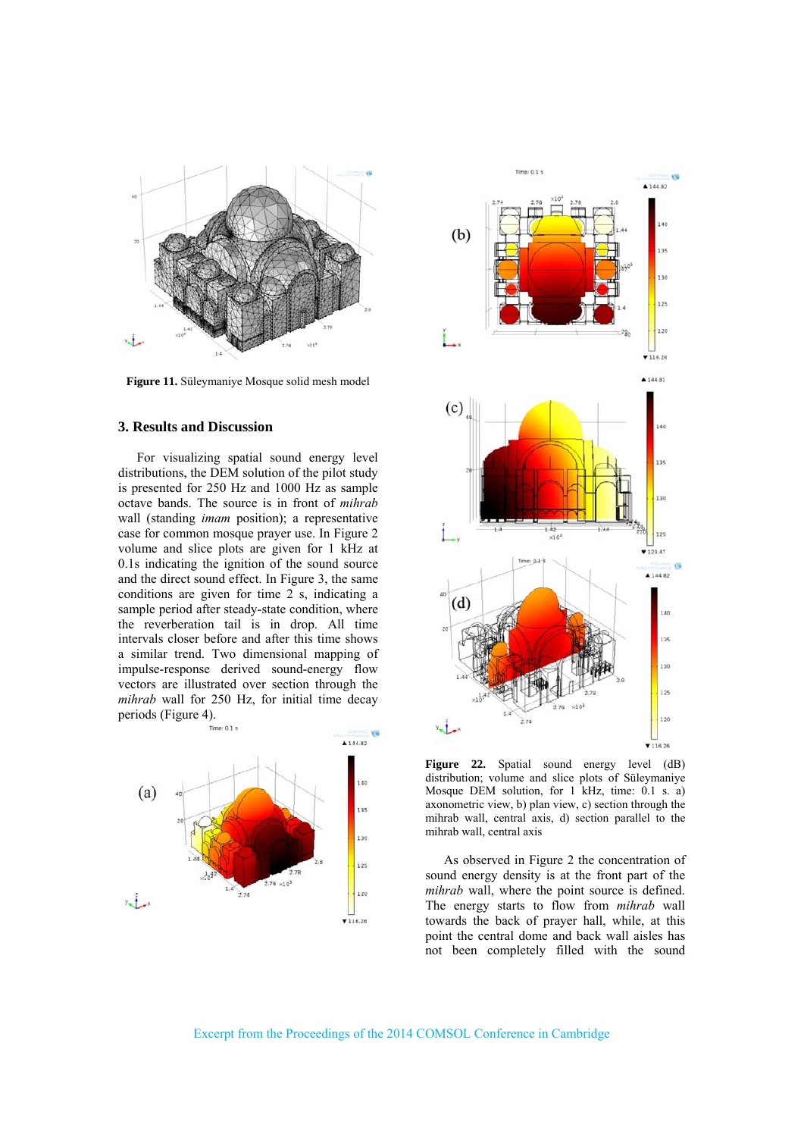

**Figure 11.** Süleymaniye Mosque solid mesh model

### **3. Results and Discussion**

For visualizing spatial sound energy level distributions, the DEM solution of the pilot study is presented for 250 Hz and 1000 Hz as sample octave bands. The source is in front of *mihrab* wall (standing *imam* position); a representative case for common mosque prayer use. In Figure 2 volume and slice plots are given for 1 kHz at 0.1s indicating the ignition of the sound source and the direct sound effect. In Figure 3, the same conditions are given for time 2 s, indicating a sample period after steady-state condition, where the reverberation tail is in drop. All time intervals closer before and after this time shows a similar trend. Two dimensional mapping of impulse-response derived sound-energy flow vectors are illustrated over section through the *mihrab* wall for 250 Hz, for initial time decay periods (Figure 4).





Figure 22. Spatial sound energy level (dB) distribution; volume and slice plots of Süleymaniye Mosque DEM solution, for 1 kHz, time: 0.1 s. a) axonometric view, b) plan view, c) section through the mihrab wall, central axis, d) section parallel to the mihrab wall, central axis

As observed in Figure 2 the concentration of sound energy density is at the front part of the *mihrab* wall, where the point source is defined. The energy starts to flow from *mihrab* wall towards the back of prayer hall, while, at this point the central dome and back wall aisles has not been completely filled with the sound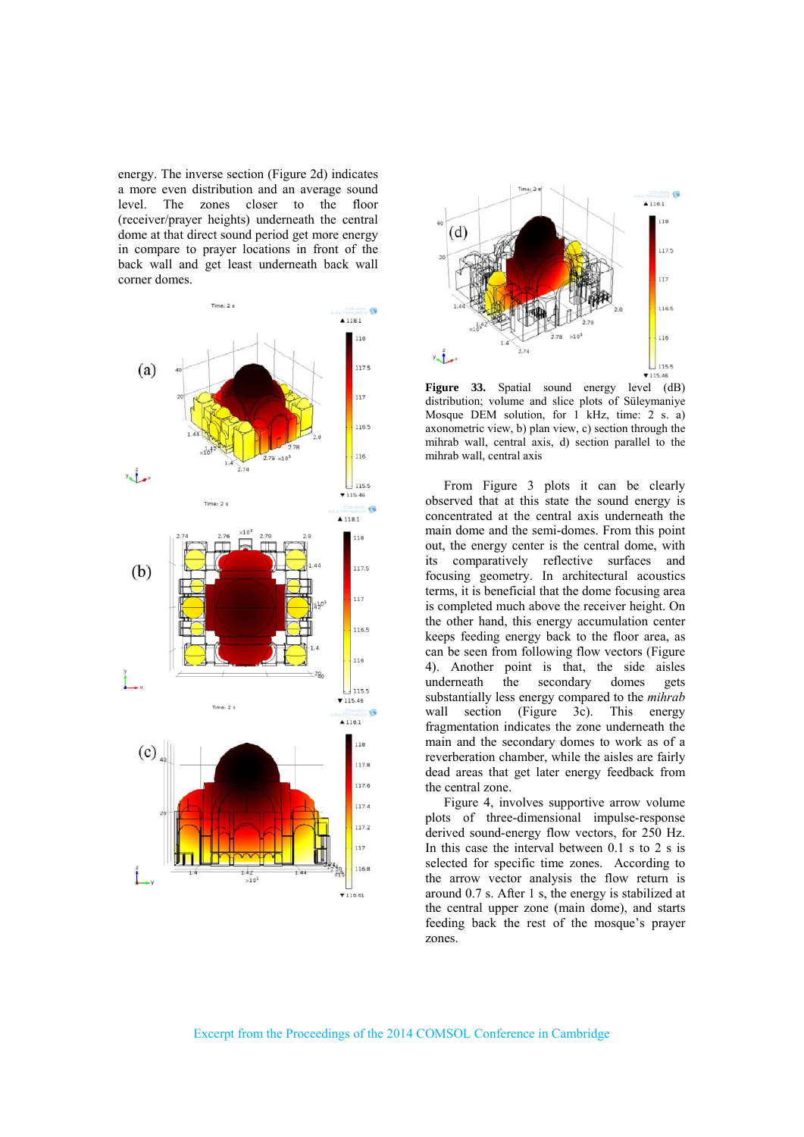energy. The inverse section (Figure 2d) indicates a more even distribution and an average sound level. The zones closer to the floor (receiver/prayer heights) underneath the central dome at that direct sound period get more energy in compare to prayer locations in front of the back wall and get least underneath back wall corner domes.





**Figure 33.** Spatial sound energy level (dB) distribution; volume and slice plots of Süleymaniye Mosque DEM solution, for 1 kHz, time: 2 s. a) axonometric view, b) plan view, c) section through the mihrab wall, central axis, d) section parallel to the mihrab wall, central axis

From Figure 3 plots it can be clearly observed that at this state the sound energy is concentrated at the central axis underneath the main dome and the semi-domes. From this point out, the energy center is the central dome, with its comparatively reflective surfaces and focusing geometry. In architectural acoustics terms, it is beneficial that the dome focusing area is completed much above the receiver height. On the other hand, this energy accumulation center keeps feeding energy back to the floor area, as can be seen from following flow vectors (Figure 4). Another point is that, the side aisles underneath the secondary domes gets substantially less energy compared to the *mihrab* wall section (Figure 3c). This energy fragmentation indicates the zone underneath the main and the secondary domes to work as of a reverberation chamber, while the aisles are fairly dead areas that get later energy feedback from the central zone.

Figure 4, involves supportive arrow volume plots of three-dimensional impulse-response derived sound-energy flow vectors, for 250 Hz. In this case the interval between 0.1 s to 2 s is selected for specific time zones. According to the arrow vector analysis the flow return is around 0.7 s. After 1 s, the energy is stabilized at the central upper zone (main dome), and starts feeding back the rest of the mosque's prayer zones.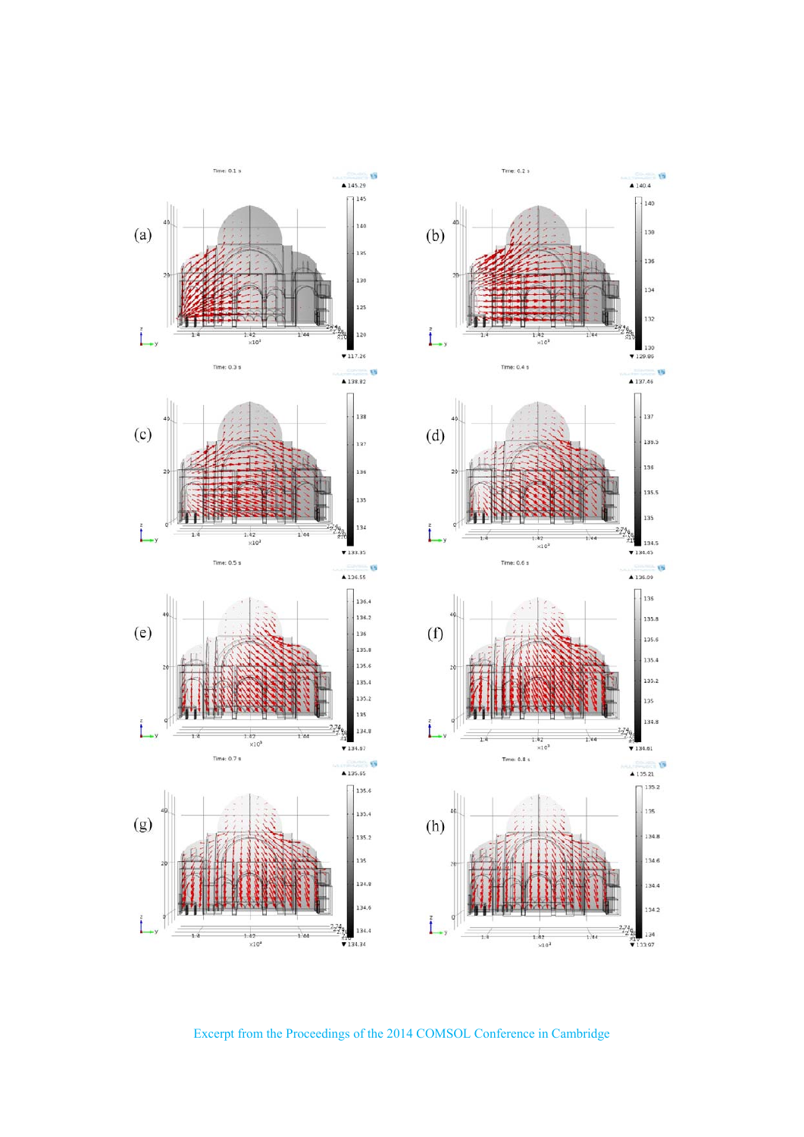

Excerpt from the Proceedings of the 2014 COMSOL Conference in Cambridge